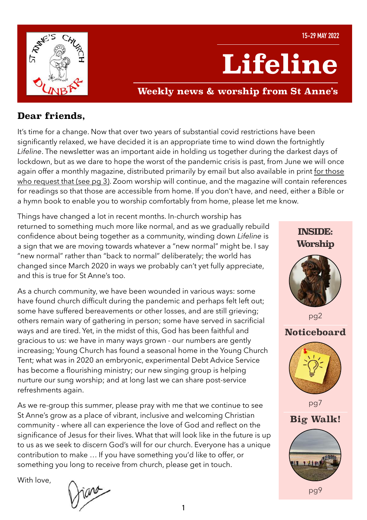



# **Lifeline**

**Weekly news & worship from St Anne's**

#### **Dear friends,**

It's time for a change. Now that over two years of substantial covid restrictions have been significantly relaxed, we have decided it is an appropriate time to wind down the fortnightly *Lifeline*. The newsletter was an important aide in holding us together during the darkest days of lockdown, but as we dare to hope the worst of the pandemic crisis is past, from June we will once again offer a monthly magazine, distributed primarily by email but also available in print for those who request that (see pg 3). Zoom worship will continue, and the magazine will contain references for readings so that those are accessible from home. If you don't have, and need, either a Bible or a hymn book to enable you to worship comfortably from home, please let me know.

Things have changed a lot in recent months. In-church worship has returned to something much more like normal, and as we gradually rebuild confidence about being together as a community, winding down *Lifeline* is a sign that we are moving towards whatever a "new normal" might be. I say "new normal" rather than "back to normal" deliberately; the world has changed since March 2020 in ways we probably can't yet fully appreciate, and this is true for St Anne's too.

As a church community, we have been wounded in various ways: some have found church difficult during the pandemic and perhaps felt left out; some have suffered bereavements or other losses, and are still grieving; others remain wary of gathering in person; some have served in sacrificial ways and are tired. Yet, in the midst of this, God has been faithful and gracious to us: we have in many ways grown - our numbers are gently increasing; Young Church has found a seasonal home in the Young Church Tent; what was in 2020 an embryonic, experimental Debt Advice Service has become a flourishing ministry; our new singing group is helping nurture our sung worship; and at long last we can share post-service refreshments again.

As we re-group this summer, please pray with me that we continue to see St Anne's grow as a place of vibrant, inclusive and welcoming Christian community - where all can experience the love of God and reflect on the significance of Jesus for their lives. What that will look like in the future is up to us as we seek to discern God's will for our church. Everyone has a unique contribution to make … If you have something you'd like to offer, or something you long to receive from church, please get in touch.

With love.

**Worship** pg2 **Noticeboard** pg7 **Big Walk!**

**INSIDE:**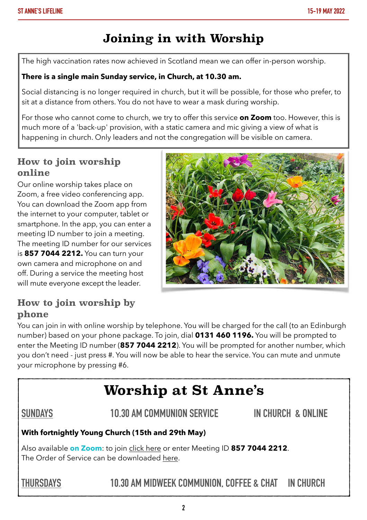# **Joining in with Worship**

The high vaccination rates now achieved in Scotland mean we can offer in-person worship.

#### **There is a single main Sunday service, in Church, at 10.30 am.**

Social distancing is no longer required in church, but it will be possible, for those who prefer, to sit at a distance from others. You do not have to wear a mask during worship.

For those who cannot come to church, we try to offer this service **on Zoom** too. However, this is much more of a 'back-up' provision, with a static camera and mic giving a view of what is happening in church. Only leaders and not the congregation will be visible on camera.

#### **How to join worship online**

Our online worship takes place on Zoom, a free video conferencing app. You can download the Zoom app from the internet to your computer, tablet or smartphone. In the app, you can enter a meeting ID number to join a meeting. The meeting ID number for our services is **857 7044 2212.** You can turn your own camera and microphone on and off. During a service the meeting host will mute everyone except the leader.



#### **How to join worship by phone**

You can join in with online worship by telephone. You will be charged for the call (to an Edinburgh number) based on your phone package. To join, dial **0131 460 1196.** You will be prompted to enter the Meeting ID number (**857 7044 2212**). You will be prompted for another number, which you don't need - just press #. You will now be able to hear the service. You can mute and unmute your microphone by pressing #6.

# **Worship at St Anne's**

**SUNDAYS 1O.30 AM COMMUNION SERVICE IN CHURCH & ONLINE**

#### **With fortnightly Young Church (15th and 29th May)**

Also available **on Zoom**: to join [click here](https://us02web.zoom.us/j/85770442212) or enter Meeting ID **857 7044 2212**. The Order of Service can be downloaded [here.](https://www.dropbox.com/s/oogzviz6atmw39l/OOS%20Eucharistic%20Worship%20for%20Ordinary%20Time%202021.pdf?dl=0)

**THURSDAYS 10.30 AM MIDWEEK COMMUNION, COFFEE & CHAT IN CHURCH**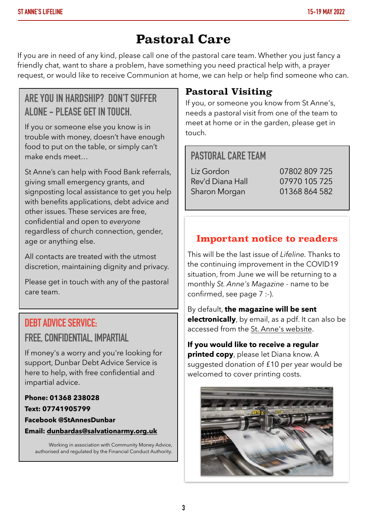# **Pastoral Care**

If you are in need of any kind, please call one of the pastoral care team. Whether you just fancy a friendly chat, want to share a problem, have something you need practical help with, a prayer request, or would like to receive Communion at home, we can help or help find someone who can.

# **ARE YOU IN HARDSHIP? DON'T SUFFER ALONE - PLEASE GET IN TOUCH.**

If you or someone else you know is in trouble with money, doesn't have enough food to put on the table, or simply can't make ends meet…

St Anne's can help with Food Bank referrals, giving small emergency grants, and signposting local assistance to get you help with benefits applications, debt advice and other issues. These services are free, confidential and open to *everyone*  regardless of church connection, gender, age or anything else.

All contacts are treated with the utmost discretion, maintaining dignity and privacy.

Please get in touch with any of the pastoral care team.

# **DEBT ADVICE SERVICE:**

**FREE, CONFIDENTIAL, IMPARTIAL**

If money's a worry and you're looking for support, Dunbar Debt Advice Service is here to help, with free confidential and impartial advice.

#### **Phone: 01368 238028 Text: 07741905799**

#### **Facebook @StAnnesDunbar**

**Email: [dunbardas@salvationarmy.org.uk](mailto:dunbardas@salvationarmy.org.uk)**

Working in association with Community Money Advice, authorised and regulated by the Financial Conduct Authority.

#### **Pastoral Visiting**

If you, or someone you know from St Anne's, needs a pastoral visit from one of the team to meet at home or in the garden, please get in touch.

#### **PASTORAL CARE TEAM**

Liz Gordon 07802 809 725 Rev'd Diana Hall 07970 105 725 Sharon Morgan 01368 864 582

# **Important notice to readers**

This will be the last issue of *Lifeline.* Thanks to the continuing improvement in the COVID19 situation, from June we will be returning to a monthly *St. Anne's Magazine -* name to be confirmed, see page 7 :-).

By default, **the magazine will be sent electronically**, by email, as a pdf. It can also be accessed from the [St. Anne's website.](http://stannesdunbar.org.uk.websitebuilder.prositehosting.co.uk/)

**If you would like to receive a regular printed copy**, please let Diana know. A suggested donation of £10 per year would be welcomed to cover printing costs.

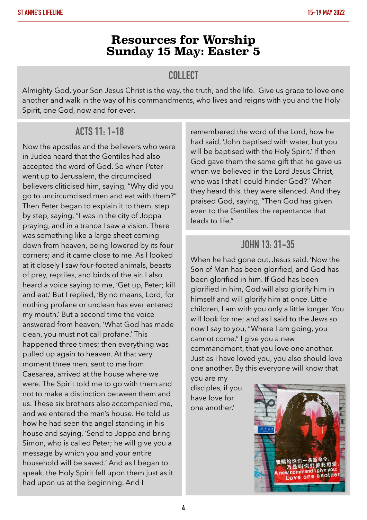# **Resources for Worship Sunday 15 May: Easter 5**

# **COLLECT**

Almighty God, your Son Jesus Christ is the way, the truth, and the life. Give us grace to love one another and walk in the way of his commandments, who lives and reigns with you and the Holy Spirit, one God, now and for ever.

# **ACTS 11: 1-18**

Now the apostles and the believers who were in Judea heard that the Gentiles had also accepted the word of God. So when Peter went up to Jerusalem, the circumcised believers cliticised him, saying, "Why did you go to uncircumcised men and eat with them?" Then Peter began to explain it to them, step by step, saying, "I was in the city of Joppa praying, and in a trance I saw a vision. There was something like a large sheet coming down from heaven, being lowered by its four corners; and it came close to me. As I looked at it closely I saw four-footed animals, beasts of prey, reptiles, and birds of the air. I also heard a voice saying to me, 'Get up, Peter; kill and eat.' But I replied, 'By no means, Lord; for nothing profane or unclean has ever entered my mouth.' But a second time the voice answered from heaven, 'What God has made clean, you must not call profane.' This happened three times; then everything was pulled up again to heaven. At that very moment three men, sent to me from Caesarea, arrived at the house where we were. The Spirit told me to go with them and not to make a distinction between them and us. These six brothers also accompanied me, and we entered the man's house. He told us how he had seen the angel standing in his house and saying, 'Send to Joppa and bring Simon, who is called Peter; he will give you a message by which you and your entire household will be saved.' And as I began to speak, the Holy Spirit fell upon them just as it had upon us at the beginning. And I

remembered the word of the Lord, how he had said, 'John baptised with water, but you will be baptised with the Holy Spirit.' If then God gave them the same gift that he gave us when we believed in the Lord Jesus Christ, who was I that I could hinder God?" When they heard this, they were silenced. And they praised God, saying, "Then God has given even to the Gentiles the repentance that leads to life."

# **JOHN 13: 31-35**

When he had gone out, Jesus said, 'Now the Son of Man has been glorified, and God has been glorified in him. If God has been glorified in him, God will also glorify him in himself and will glorify him at once. Little children, I am with you only a little longer. You will look for me; and as I said to the Jews so now I say to you, "Where I am going, you cannot come." I give you a new commandment, that you love one another. Just as I have loved you, you also should love one another. By this everyone will know that

you are my disciples, if you have love for one another.'

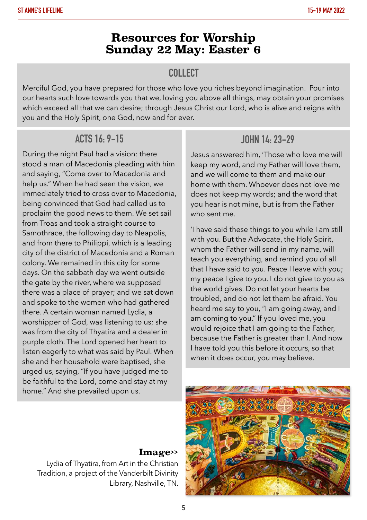## **Resources for Worship Sunday 22 May: Easter 6**

# **COLLECT**

Merciful God, you have prepared for those who love you riches beyond imagination. Pour into our hearts such love towards you that we, loving you above all things, may obtain your promises which exceed all that we can desire; through Jesus Christ our Lord, who is alive and reigns with you and the Holy Spirit, one God, now and for ever.

# **ACTS 16: 9-15**

During the night Paul had a vision: there stood a man of Macedonia pleading with him and saying, "Come over to Macedonia and help us." When he had seen the vision, we immediately tried to cross over to Macedonia, being convinced that God had called us to proclaim the good news to them. We set sail from Troas and took a straight course to Samothrace, the following day to Neapolis, and from there to Philippi, which is a leading city of the district of Macedonia and a Roman colony. We remained in this city for some days. On the sabbath day we went outside the gate by the river, where we supposed there was a place of prayer; and we sat down and spoke to the women who had gathered there. A certain woman named Lydia, a worshipper of God, was listening to us; she was from the city of Thyatira and a dealer in purple cloth. The Lord opened her heart to listen eagerly to what was said by Paul. When she and her household were baptised, she urged us, saying, "If you have judged me to be faithful to the Lord, come and stay at my home." And she prevailed upon us.

# **JOHN 14: 23-29**

Jesus answered him, 'Those who love me will keep my word, and my Father will love them, and we will come to them and make our home with them. Whoever does not love me does not keep my words; and the word that you hear is not mine, but is from the Father who sent me.

'I have said these things to you while I am still with you. But the Advocate, the Holy Spirit, whom the Father will send in my name, will teach you everything, and remind you of all that I have said to you. Peace I leave with you; my peace I give to you. I do not give to you as the world gives. Do not let your hearts be troubled, and do not let them be afraid. You heard me say to you, "I am going away, and I am coming to you." If you loved me, you would rejoice that I am going to the Father, because the Father is greater than I. And now I have told you this before it occurs, so that when it does occur, you may believe.



# **Image>>**

Lydia of Thyatira, from Art in the Christian Tradition, a project of the Vanderbilt Divinity Library, Nashville, TN.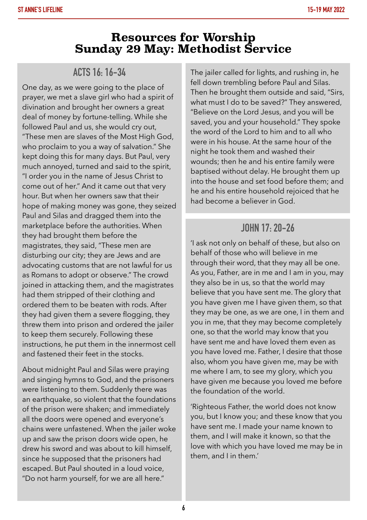# **Resources for Worship Sunday 29 May: Methodist Service**

# **ACTS 16: 16-34**

One day, as we were going to the place of prayer, we met a slave girl who had a spirit of divination and brought her owners a great deal of money by fortune-telling. While she followed Paul and us, she would cry out, "These men are slaves of the Most High God, who proclaim to you a way of salvation." She kept doing this for many days. But Paul, very much annoyed, turned and said to the spirit, "I order you in the name of Jesus Christ to come out of her." And it came out that very hour. But when her owners saw that their hope of making money was gone, they seized Paul and Silas and dragged them into the marketplace before the authorities. When they had brought them before the magistrates, they said, "These men are disturbing our city; they are Jews and are advocating customs that are not lawful for us as Romans to adopt or observe." The crowd joined in attacking them, and the magistrates had them stripped of their clothing and ordered them to be beaten with rods. After they had given them a severe flogging, they threw them into prison and ordered the jailer to keep them securely. Following these instructions, he put them in the innermost cell and fastened their feet in the stocks.

About midnight Paul and Silas were praying and singing hymns to God, and the prisoners were listening to them. Suddenly there was an earthquake, so violent that the foundations of the prison were shaken; and immediately all the doors were opened and everyone's chains were unfastened. When the jailer woke up and saw the prison doors wide open, he drew his sword and was about to kill himself, since he supposed that the prisoners had escaped. But Paul shouted in a loud voice, "Do not harm yourself, for we are all here."

The jailer called for lights, and rushing in, he fell down trembling before Paul and Silas. Then he brought them outside and said, "Sirs, what must I do to be saved?" They answered, "Believe on the Lord Jesus, and you will be saved, you and your household." They spoke the word of the Lord to him and to all who were in his house. At the same hour of the night he took them and washed their wounds; then he and his entire family were baptised without delay. He brought them up into the house and set food before them; and he and his entire household rejoiced that he had become a believer in God.

# **JOHN 17: 20-26**

'I ask not only on behalf of these, but also on behalf of those who will believe in me through their word, that they may all be one. As you, Father, are in me and I am in you, may they also be in us, so that the world may believe that you have sent me. The glory that you have given me I have given them, so that they may be one, as we are one, I in them and you in me, that they may become completely one, so that the world may know that you have sent me and have loved them even as you have loved me. Father, I desire that those also, whom you have given me, may be with me where I am, to see my glory, which you have given me because you loved me before the foundation of the world.

'Righteous Father, the world does not know you, but I know you; and these know that you have sent me. I made your name known to them, and I will make it known, so that the love with which you have loved me may be in them, and I in them.'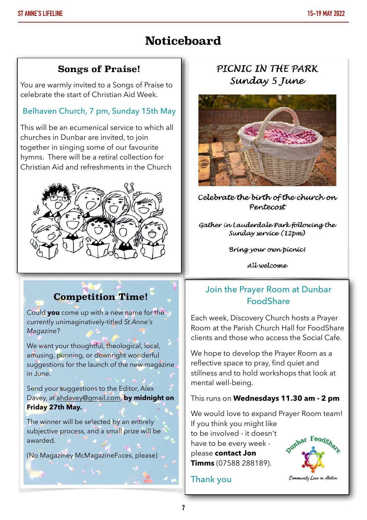# **Noticeboard**

#### **Songs of Praise!**

You are warmly invited to a Songs of Praise to celebrate the start of Christian Aid Week.

#### Belhaven Church, 7 pm, Sunday 15th May

This will be an ecumenical service to which all churches in Dunbar are invited, to join together in singing some of our favourite hymns. There will be a retiral collection for Christian Aid and refreshments in the Church



# PICNIC IN THE PARK Sunday 5 June



Celebrate the birth of the church on Pentecost

Gather in Lauderdale Park following the Sunday service (12pm)

Bring your own picnic!

All welcome

# **Competition Time!**

Could **you** come up with a new name for the currently unimaginatively-titled *St Anne's Magazine*?

We want your thoughtful, theological, local, amusing, punning, or downright wonderful suggestions for the launch of the new magazine in June.

Send your suggestions to the Editor, Alex Davey, at [ahdavey@gmail.com](mailto:ahdavey@gmail.com), **by midnight on Friday 27th May.**

The winner will be selected by an entirely subjective process, and a small prize will be awarded.

(No Magaziney McMagazineFaces, please)

#### Join the Prayer Room at Dunbar FoodShare

Each week, Discovery Church hosts a Prayer Room at the Parish Church Hall for FoodShare clients and those who access the Social Cafe.

We hope to develop the Prayer Room as a reflective space to pray, find quiet and stillness and to hold workshops that look at mental well-being.

#### This runs on **Wednesdays 11.30 am - 2 pm**

We would love to expand Prayer Room team! If you think you might like to be involved - it doesn't Dunbar Foodshare have to be every week please **contact Jon Timms** (07588 288189).

Thank you

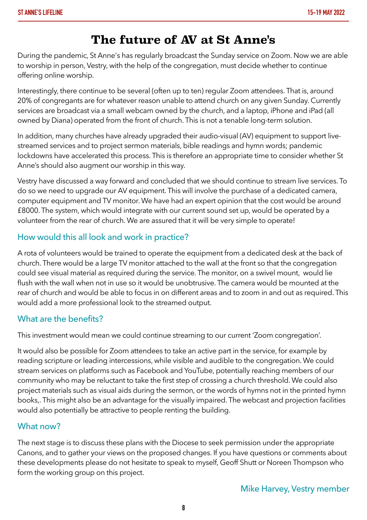# **The future of AV at St Anne's**

During the pandemic, St Anne's has regularly broadcast the Sunday service on Zoom. Now we are able to worship in person, Vestry, with the help of the congregation, must decide whether to continue offering online worship.

Interestingly, there continue to be several (often up to ten) regular Zoom attendees. That is, around 20% of congregants are for whatever reason unable to attend church on any given Sunday. Currently services are broadcast via a small webcam owned by the church, and a laptop, iPhone and iPad (all owned by Diana) operated from the front of church. This is not a tenable long-term solution.

In addition, many churches have already upgraded their audio-visual (AV) equipment to support livestreamed services and to project sermon materials, bible readings and hymn words; pandemic lockdowns have accelerated this process. This is therefore an appropriate time to consider whether St Anne's should also augment our worship in this way.

Vestry have discussed a way forward and concluded that we should continue to stream live services. To do so we need to upgrade our AV equipment. This will involve the purchase of a dedicated camera, computer equipment and TV monitor. We have had an expert opinion that the cost would be around £8000. The system, which would integrate with our current sound set up, would be operated by a volunteer from the rear of church. We are assured that it will be very simple to operate!

#### How would this all look and work in practice?

A rota of volunteers would be trained to operate the equipment from a dedicated desk at the back of church. There would be a large TV monitor attached to the wall at the front so that the congregation could see visual material as required during the service. The monitor, on a swivel mount, would lie flush with the wall when not in use so it would be unobtrusive. The camera would be mounted at the rear of church and would be able to focus in on different areas and to zoom in and out as required. This would add a more professional look to the streamed output.

#### What are the benefits?

This investment would mean we could continue streaming to our current 'Zoom congregation'.

It would also be possible for Zoom attendees to take an active part in the service, for example by reading scripture or leading intercessions, while visible and audible to the congregation. We could stream services on platforms such as Facebook and YouTube, potentially reaching members of our community who may be reluctant to take the first step of crossing a church threshold. We could also project materials such as visual aids during the sermon, or the words of hymns not in the printed hymn books,. This might also be an advantage for the visually impaired. The webcast and projection facilities would also potentially be attractive to people renting the building.

#### What now?

The next stage is to discuss these plans with the Diocese to seek permission under the appropriate Canons, and to gather your views on the proposed changes. If you have questions or comments about these developments please do not hesitate to speak to myself, Geoff Shutt or Noreen Thompson who form the working group on this project.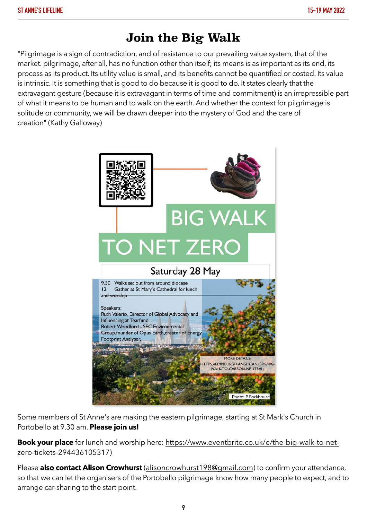# **Join the Big Walk**

"Pilgrimage is a sign of contradiction, and of resistance to our prevailing value system, that of the market. pilgrimage, after all, has no function other than itself; its means is as important as its end, its process as its product. Its utility value is small, and its benefits cannot be quantified or costed. Its value is intrinsic. It is something that is good to do because it is good to do. It states clearly that the extravagant gesture (because it is extravagant in terms of time and commitment) is an irrepressible part of what it means to be human and to walk on the earth. And whether the context for pilgrimage is solitude or community, we will be drawn deeper into the mystery of God and the care of creation" (Kathy Galloway)



Some members of St Anne's are making the eastern pilgrimage, starting at St Mark's Church in Portobello at 9.30 am. **Please join us!**

**Book your place** for lunch and worship here: [https://www.eventbrite.co.uk/e/the-big-walk-to-net](https://www.eventbrite.co.uk/e/the-big-walk-to-net-zero-tickets-294436105317))[zero-tickets-294436105317\)](https://www.eventbrite.co.uk/e/the-big-walk-to-net-zero-tickets-294436105317))

Please **also contact Alison Crowhurst** ([alisoncrowhurst198@gmail.com](mailto:alisoncrowhurst198@gmail.com)) to confirm your attendance, so that we can let the organisers of the Portobello pilgrimage know how many people to expect, and to arrange car-sharing to the start point.